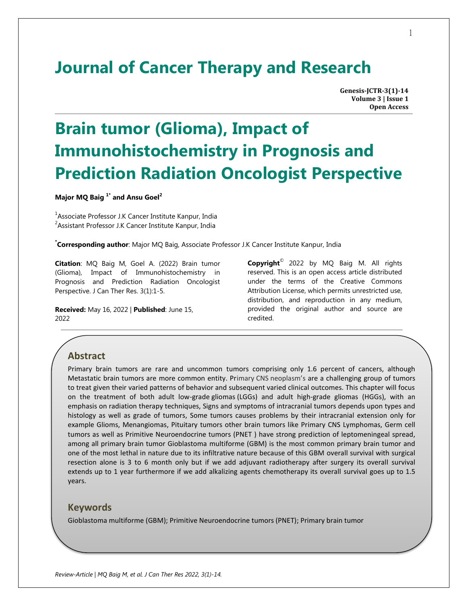## **Journal of Cancer Therapy and Research**

**Genesis-JCTR-3(1)-14 Volume 3 | Issue 1 Open Access**

# **Brain tumor (Glioma), Impact of Immunohistochemistry in Prognosis and Prediction Radiation Oncologist Perspective**

**Major MQ Baig 1\* and Ansu Goel<sup>2</sup>**

<sup>1</sup>Associate Professor J.K Cancer Institute Kanpur, India <sup>2</sup> Assistant Professor J.K Cancer Institute Kanpur, India

**\* Corresponding author**: Major MQ Baig, Associate Professor J.K Cancer Institute Kanpur, India

**Citation**: MQ Baig M, Goel A. (2022) Brain tumor (Glioma), Impact of Immunohistochemistry in Prognosis and Prediction Radiation Oncologist Perspective. J Can Ther Res. 3(1):1-5.

**Received:** May 16, 2022 | **Published**: June 15, 2022

**Copyright**© 2022 by MQ Baig M. All rights reserved. This is an open access article distributed under the terms of the Creative Commons Attribution License, which permits unrestricted use, distribution, and reproduction in any medium, provided the original author and source are credited.

## **Abstract**

Primary brain tumors are rare and uncommon tumors comprising only 1.6 percent of cancers, although Metastatic brain tumors are more common entity. Primary CNS neoplasm's are a challenging group of tumors to treat given their varied patterns of behavior and subsequent varied clinical outcomes. This chapter will focus on the treatment of both adult low-grade gliomas (LGGs) and adult high-grade gliomas (HGGs), with an emphasis on radiation therapy techniques, Signs and symptoms of intracranial tumors depends upon types and histology as well as grade of tumors, Some tumors causes problems by their intracranial extension only for example Glioms, Menangiomas, Pituitary tumors other brain tumors like Primary CNS Lymphomas, Germ cell tumors as well as Primitive Neuroendocrine tumors (PNET ) have strong prediction of leptomeningeal spread, among all primary brain tumor Gioblastoma multiforme (GBM) is the most common primary brain tumor and one of the most lethal in nature due to its infiltrative nature because of this GBM overall survival with surgical resection alone is 3 to 6 month only but if we add adjuvant radiotherapy after surgery its overall survival extends up to 1 year furthermore if we add alkalizing agents chemotherapy its overall survival goes up to 1.5 years.

#### **Keywords**

Gioblastoma multiforme (GBM); Primitive Neuroendocrine tumors (PNET); Primary brain tumor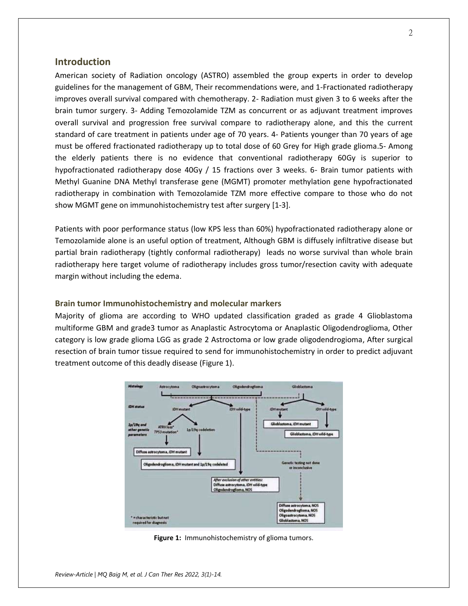#### **Introduction**

American society of Radiation oncology (ASTRO) assembled the group experts in order to develop guidelines for the management of GBM, Their recommendations were, and 1-Fractionated radiotherapy improves overall survival compared with chemotherapy. 2- Radiation must given 3 to 6 weeks after the brain tumor surgery. 3- Adding Temozolamide TZM as concurrent or as adjuvant treatment improves overall survival and progression free survival compare to radiotherapy alone, and this the current standard of care treatment in patients under age of 70 years. 4- Patients younger than 70 years of age must be offered fractionated radiotherapy up to total dose of 60 Grey for High grade glioma.5- Among the elderly patients there is no evidence that conventional radiotherapy 60Gy is superior to hypofractionated radiotherapy dose 40Gy / 15 fractions over 3 weeks. 6- Brain tumor patients with Methyl Guanine DNA Methyl transferase gene (MGMT) promoter methylation gene hypofractionated radiotherapy in combination with Temozolamide TZM more effective compare to those who do not show MGMT gene on immunohistochemistry test after surgery [1-3].

Patients with poor performance status (low KPS less than 60%) hypofractionated radiotherapy alone or Temozolamide alone is an useful option of treatment, Although GBM is diffusely infiltrative disease but partial brain radiotherapy (tightly conformal radiotherapy) leads no worse survival than whole brain radiotherapy here target volume of radiotherapy includes gross tumor/resection cavity with adequate margin without including the edema.

#### **Brain tumor Immunohistochemistry and molecular markers**

Majority of glioma are according to WHO updated classification graded as grade 4 Glioblastoma multiforme GBM and grade3 tumor as Anaplastic Astrocytoma or Anaplastic Oligodendroglioma, Other category is low grade glioma LGG as grade 2 Astroctoma or low grade oligodendrogioma, After surgical resection of brain tumor tissue required to send for immunohistochemistry in order to predict adjuvant treatment outcome of this deadly disease (Figure 1).



Figure 1: Immunohistochemistry of glioma tumors.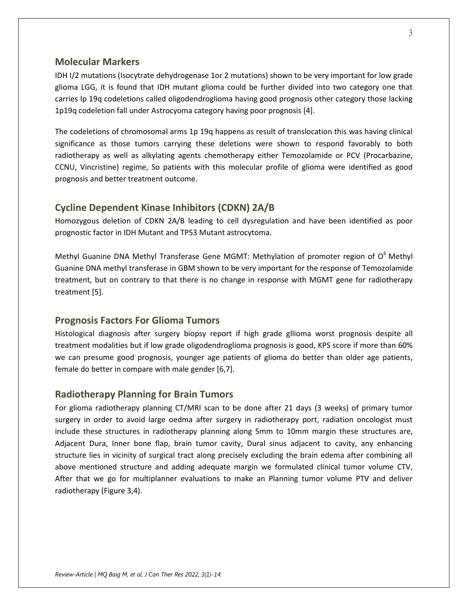## **Molecular Markers**

IDH I/2 mutations (Isocytrate dehydrogenase 1or 2 mutations) shown to be very important for low grade glioma LGG, it is found that IDH mutant glioma could be further divided into two category one that carries Ip 19q codeletions called oligodendroglioma having good prognosis other category those lacking 1p19q codeletion fall under Astrocyoma category having poor prognosis [4].

The codeletions of chromosomal arms 1p 19q happens as result of translocation this was having clinical significance as those tumors carrying these deletions were shown to respond favorably to both radiotherapy as well as alkylating agents chemotherapy either Temozolamide or PCV (Procarbazine, CCNU, Vincristine) regime, So patients with this molecular profile of glioma were identified as good prognosis and better treatment outcome.

#### **Cycline Dependent Kinase Inhibitors (CDKN) 2A/B**

Homozygous deletion of CDKN 2A/B leading to cell dysregulation and have been identified as poor prognostic factor in IDH Mutant and TP53 Mutant astrocytoma.

Methyl Guanine DNA Methyl Transferase Gene MGMT: Methylation of promoter region of  $O<sup>6</sup>$  Methyl Guanine DNA methyl transferase in GBM shown to be very important for the response of Temozolamide treatment, but on contrary to that there is no change in response with MGMT gene for radiotherapy treatment [5].

## **Prognosis Factors For Glioma Tumors**

Histological diagnosis after surgery biopsy report if high grade gllioma worst prognosis despite all treatment modalities but if low grade oligodendroglioma prognosis is good, KPS score if more than 60% we can presume good prognosis, younger age patients of glioma do better than older age patients, female do better in compare with male gender [6,7].

#### **Radiotherapy Planning for Brain Tumors**

For glioma radiotherapy planning CT/MRI scan to be done after 21 days (3 weeks) of primary tumor surgery in order to avoid large oedma after surgery in radiotherapy port, radiation oncologist must include these structures in radiotherapy planning along 5mm to 10mm margin these structures are, Adjacent Dura, Inner bone flap, brain tumor cavity, Dural sinus adjacent to cavity, any enhancing structure lies in vicinity of surgical tract along precisely excluding the brain edema after combining all above mentioned structure and adding adequate margin we formulated clinical tumor volume CTV, After that we go for multiplanner evaluations to make an Planning tumor volume PTV and deliver radiotherapy (Figure 3,4).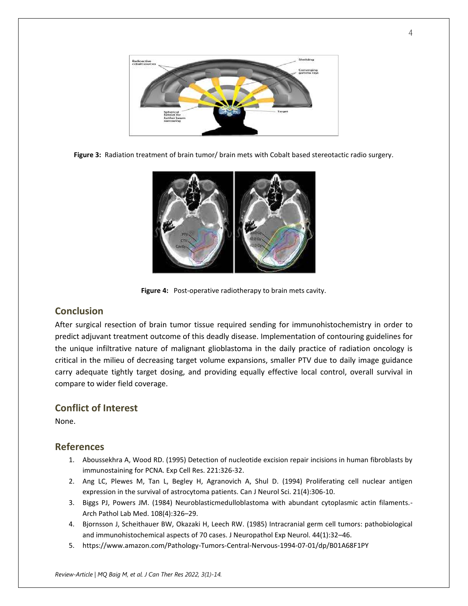

**Figure 3:** Radiation treatment of brain tumor/ brain mets with Cobalt based stereotactic radio surgery.



**Figure 4:** Post-operative radiotherapy to brain mets cavity.

## **Conclusion**

After surgical resection of brain tumor tissue required sending for immunohistochemistry in order to predict adjuvant treatment outcome of this deadly disease. Implementation of contouring guidelines for the unique infiltrative nature of malignant glioblastoma in the daily practice of radiation oncology is critical in the milieu of decreasing target volume expansions, smaller PTV due to daily image guidance carry adequate tightly target dosing, and providing equally effective local control, overall survival in compare to wider field coverage.

## **Conflict of Interest**

None.

## **References**

- 1. Aboussekhra A, Wood RD. (1995) Detection of nucleotide excision repair incisions in human fibroblasts by immunostaining for PCNA. Exp Cell Res. 221:326-32.
- 2. Ang LC, Plewes M, Tan L, Begley H, Agranovich A, Shul D. (1994) Proliferating cell nuclear antigen expression in the survival of astrocytoma patients. Can J Neurol Sci. 21(4):306-10.
- 3. Biggs PJ, Powers JM. (1984) Neuroblasticmedulloblastoma with abundant cytoplasmic actin filaments.- Arch Pathol Lab Med. 108(4):326–29.
- 4. Bjornsson J, Scheithauer BW, Okazaki H, Leech RW. (1985) Intracranial germ cell tumors: pathobiological and immunohistochemical aspects of 70 cases. J Neuropathol Exp Neurol. 44(1):32–46.
- 5. https://www.amazon.com/Pathology-Tumors-Central-Nervous-1994-07-01/dp/B01A68F1PY